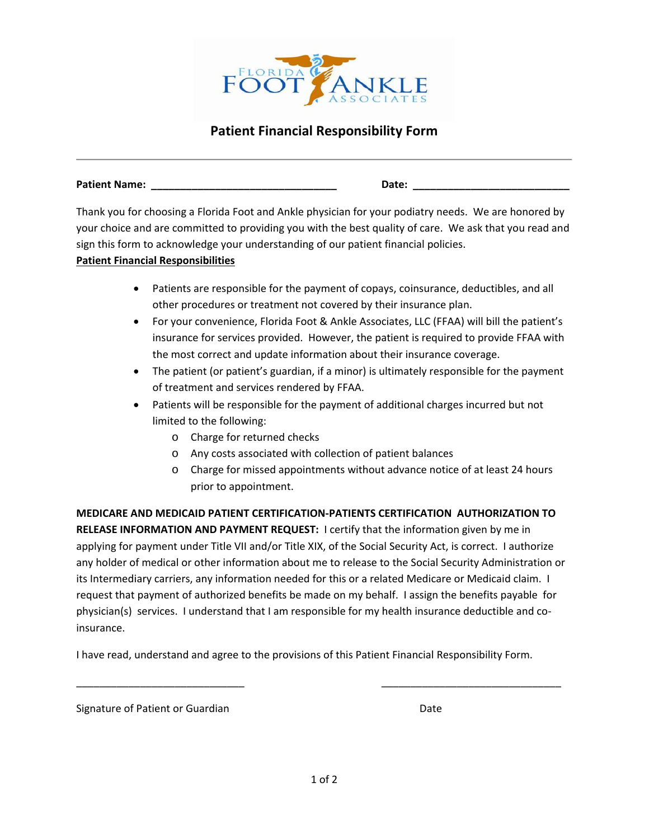

## **Patient Financial Responsibility Form**

**Patient Name: \_\_\_\_\_\_\_\_\_\_\_\_\_\_\_\_\_\_\_\_\_\_\_\_\_\_\_\_\_\_\_\_ Date: \_\_\_\_\_\_\_\_\_\_\_\_\_\_\_\_\_\_\_\_\_\_\_\_\_\_\_**

Thank you for choosing a Florida Foot and Ankle physician for your podiatry needs. We are honored by your choice and are committed to providing you with the best quality of care. We ask that you read and sign this form to acknowledge your understanding of our patient financial policies.

## **Patient Financial Responsibilities**

- Patients are responsible for the payment of copays, coinsurance, deductibles, and all other procedures or treatment not covered by their insurance plan.
- For your convenience, Florida Foot & Ankle Associates, LLC (FFAA) will bill the patient's insurance for services provided. However, the patient is required to provide FFAA with the most correct and update information about their insurance coverage.
- The patient (or patient's guardian, if a minor) is ultimately responsible for the payment of treatment and services rendered by FFAA.
- Patients will be responsible for the payment of additional charges incurred but not limited to the following:
	- o Charge for returned checks
	- o Any costs associated with collection of patient balances
	- o Charge for missed appointments without advance notice of at least 24 hours prior to appointment.

**MEDICARE AND MEDICAID PATIENT CERTIFICATION-PATIENTS CERTIFICATION AUTHORIZATION TO RELEASE INFORMATION AND PAYMENT REQUEST:** I certify that the information given by me in applying for payment under Title VII and/or Title XIX, of the Social Security Act, is correct. I authorize any holder of medical or other information about me to release to the Social Security Administration or its Intermediary carriers, any information needed for this or a related Medicare or Medicaid claim. I request that payment of authorized benefits be made on my behalf. I assign the benefits payable for physician(s) services. I understand that I am responsible for my health insurance deductible and coinsurance.

I have read, understand and agree to the provisions of this Patient Financial Responsibility Form.

\_\_\_\_\_\_\_\_\_\_\_\_\_\_\_\_\_\_\_\_\_\_\_\_\_\_\_\_\_ \_\_\_\_\_\_\_\_\_\_\_\_\_\_\_\_\_\_\_\_\_\_\_\_\_\_\_\_\_\_\_

Signature of Patient or Guardian Date Controller and Date Date